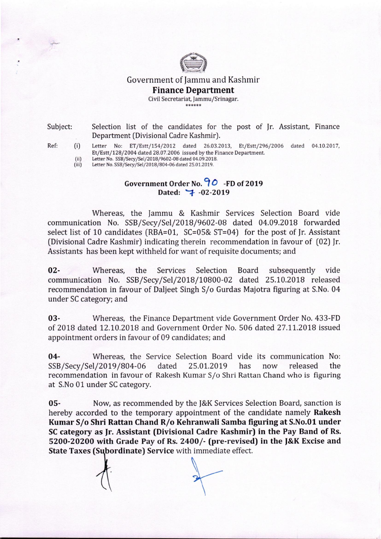

## Government of Jammu and Kashmir Finance Department

Civil Secretariat, [ammu/Srinagar, \*\*\*\*\*\*

Subject: Selection list of the candidates for the post of Jr. Assistant, Finance Department (Divisional Cadre Kashmir).

Ref: (i) Letter No: ET /Estt/154/2012 dated 26.03.2013, Et/Estt/296/2006 dated 04.10.2017, Et/Estt/128/2004 dated 28.07.2006 issued by the Finance Department.

(ii) Letter No. SSB/Secy/Sel/2018/9602-08 dated 04.09.2018.

(iii) Letter No. SSB/Secy/Sel/2018/804-06 dated 25.01.2019.

## Government Order No. 90 -FD of 2019 Dated:  $4 - 02 - 2019$

Whereas, the Jammu & Kashmir Services Selection Board vide communication No. SSB/Secy/Sel/2018/9602-08 dated 04.09.2018 forwarded select list of 10 candidates (RBA=01, SC=05& ST=04) for the post of Jr. Assistant (Divisional Cadre Kashmir) indicating therein recommendation in favour of (02) Jr. Assistants has been kept withheld for want of requisite documents; and

02- Whereas, the Services Selection Board subsequently vide communication No. SSB/Secy /Sel/2018/10800-02 dated 25.10.2018 released recommendation in favour of Daljeet Singh S/o Gurdas Majotra figuring at S.No. 04 under SC category; and

03- Whereas, the Finance Department vide Government Order No. 433-FD of 2018 dated 12.10.2018 and Government Order No. 506 dated 27.11.2018 issued appointment orders in favour of 09 candidates; and

04- Whereas, the Service Selection Board vide its communication No: SSB/Secy /Sel/2019 /804-06 dated 25.01.2019 has now released the recommendation in favour of Rakesh Kumar S/o Shri Rattan Chand who is figuring at S.No 01 under SC category.

05- Now, as recommended by the J&K Services Selection Board, sanction is hereby accorded to the temporary appointment of the candidate namely Rakesh Kumar S/o Shri Rattan Chand R/o Kehranwali Samba figuring at S.No.Ol under SC category as Jr. Assistant (Divisional Cadre Kashmir) in the Pay Band of Rs. 5200-20200 with Grade Pay of Rs. 2400/- (pre-revised) in the J&K Excise and State Taxes (Subordinate) Service with immediate effect.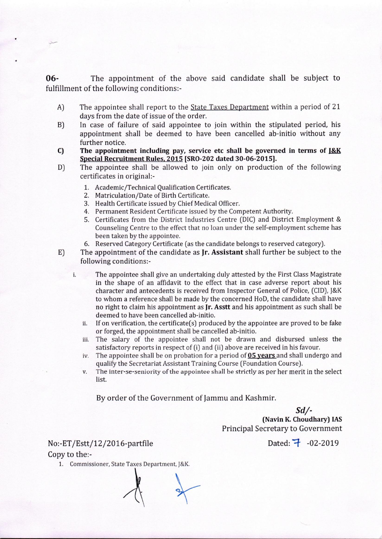06- The appointment of the above said candidate shall be subject to fulfillment of the following conditions:-

- A) The appointee shall report to the **State Taxes Department** within a period of 21 days from the date of issue of the order.
- B) In case of failure of said appointee to join within the stipulated period, his appointment shall be deemed to have been cancelled ab-initio without any further notice.
- C) The appointment including pay, service etc shall be governed in terms of  $\underline{I\&K}$ Special Recruitment Rules. 2015 [SRO-202 dated 30-06-2015].
- D) The appointee shall be allowed to join only on production of the following certificates in original:-
	- 1. Academic/Technical Qualification Certificates.
	- 2. Matriculation/Date of Birth Certificate.
	- 3. Health Certificate issued by Chief Medical Officer.
	- 4. Permanent Resident Certificate issued by the Competent Authority.
	- 5. Certificates from the District Industries Centre (DIC) and District Employment & Counseling Centre to the effect that no loan under the self-employment scheme has been taken by the appointee.
	- 6. Reserved Category Certificate (as the candidate belongs to reserved category).

E) The appointment of the candidate as Jr. Assistant shall further be subject to the following conditions:-

- i. The appointee shall give an undertaking duly attested by the First Class Magistrate in the shape of an affidavit to the effect that in case adverse report about his character and antecedents is received from Inspector General of Police, (CID), J&K to whom a reference shall be made by the concerned HoD, the candidate shall have no right to claim his appointment as Jr. Asstt and his appointment as such shall be deemed to have been cancelled ab-initio.
	- ii. If on verification, the certificate $(s)$  produced by the appointee are proved to be fake or forged, the appointment shall be cancelled ab-initio.
	- iii. The salary of the appointee shall not be drawn and disbursed unless the satisfactory reports in respect of (i) and (ii) above are received in his favour.
	- iv. The appointee shall be on probation for a period of  $05$  years and shall undergo and qualify the Secretariat Assistant Training Course (Foundation Course).
	- v. The inter-se-seniority of the appointee shall be strictly as per her merit in the select list.

By order of the Government of Jammu and Kashmir.

*Sdj-*  (Navin K. Choudhary) lAS Principal Secretary to Government

## No:-ET /Estt/12/2016-partfile

Dated:  $\frac{1}{2}$  -02-2019

## Copy to the:-

1. Commissioner, State Taxes Department, J&K.